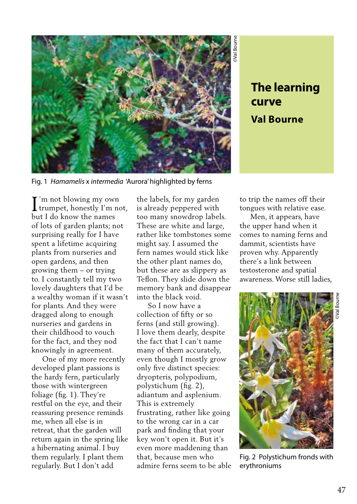

## **curve Val Bourne**

Fig. 1 *Hamamelis* x *intermedia* 'Aurora' highlighted by ferns

**T**'m not blowing my own I'm not blowing my own<br>trumpet, honestly I'm not, but I do know the names of lots of garden plants; not surprising really for I have spent a lifetime acquiring plants from nurseries and open gardens, and then growing them – or trying to. I constantly tell my two lovely daughters that I'd be a wealthy woman if it wasn't for plants. And they were dragged along to enough nurseries and gardens in their childhood to vouch for the fact, and they nod knowingly in agreement.

 One of my more recently developed plant passions is the hardy fern, particularly those with wintergreen foliage (fig. 1). They're restful on the eye, and their reassuring presence reminds me, when all else is in retreat, that the garden will return again in the spring like a hibernating animal. I buy them regularly. I plant them regularly. But I don't add

the labels, for my garden is already peppered with too many snowdrop labels. These are white and large, rather like tombstones some might say. I assumed the fern names would stick like the other plant names do, but these are as slippery as Teflon. They slide down the memory bank and disappear into the black void.

 So I now have a collection of fifty or so ferns (and still growing). I love them dearly, despite the fact that I can't name many of them accurately, even though I mostly grow only five distinct species: dryopteris, polypodium, polystichum (fig. 2), adiantum and asplenium. This is extremely frustrating, rather like going to the wrong car in a car park and finding that your key won't open it. But it's even more maddening than that, because men who admire ferns seem to be able to trip the names off their tongues with relative ease.

 Men, it appears, have the upper hand when it comes to naming ferns and dammit, scientists have proven why. Apparently there's a link between testosterone and spatial awareness. Worse still ladies,



Fig. 2 Polystichum fronds with erythroniums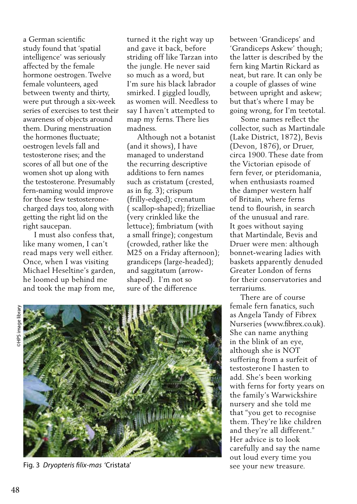a German scientific study found that 'spatial intelligence' was seriously affected by the female hormone oestrogen. Twelve female volunteers, aged between twenty and thirty, were put through a six-week series of exercises to test their awareness of objects around them. During menstruation the hormones fluctuate; oestrogen levels fall and testosterone rises; and the scores of all but one of the women shot up along with the testosterone. Presumably fern-naming would improve for those few testosteronecharged days too, along with getting the right lid on the right saucepan.

 I must also confess that, like many women, I can't read maps very well either. Once, when I was visiting Michael Heseltine's garden, he loomed up behind me and took the map from me,

turned it the right way up and gave it back, before striding off like Tarzan into the jungle. He never said so much as a word, but I'm sure his black labrador smirked. I giggled loudly, as women will. Needless to say I haven't attempted to map my ferns. There lies madness.

 Although not a botanist (and it shows), I have managed to understand the recurring descriptive additions to fern names such as cristatum (crested, as in fig. 3); crispum (frilly-edged); crenatum ( scallop-shaped); frizelliae (very crinkled like the lettuce); fimbriatum (with a small fringe); congestum (crowded, rather like the M25 on a Friday afternoon); grandiceps (large-headed); and saggitatum (arrowshaped). I'm not so sure of the difference

between 'Grandiceps' and 'Grandiceps Askew' though; the latter is described by the fern king Martin Rickard as neat, but rare. It can only be a couple of glasses of wine between upright and askew; but that's where I may be going wrong, for I'm teetotal.

 Some names reflect the collector, such as Martindale (Lake District, 1872), Bevis (Devon, 1876), or Druer, circa 1900. These date from the Victorian episode of fern fever, or pteridomania, when enthusiasts roamed the damper western half of Britain, where ferns tend to flourish, in search of the unusual and rare. It goes without saying that Martindale, Bevis and Druer were men: although bonnet-wearing ladies with baskets apparently denuded Greater London of ferns for their conservatories and terrariums.

 There are of course female fern fanatics, such as Angela Tandy of Fibrex Nurseries (www.fibrex.co.uk). She can name anything in the blink of an eye, although she is NOT suffering from a surfeit of testosterone I hasten to add. She's been working with ferns for forty years on the family's Warwickshire nursery and she told me that "you get to recognise them. They're like children and they're all different." Her advice is to look carefully and say the name out loud every time you see your new treasure.



Fig. 3 *Dryopteris filix-mas* 'Cristata'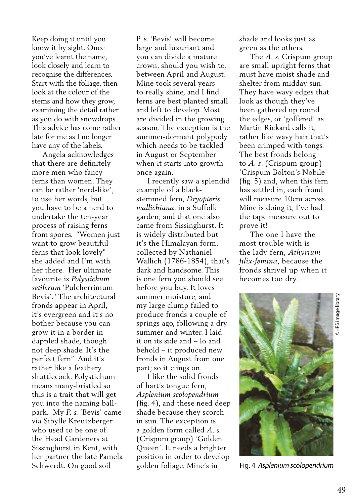Keep doing it until you know it by sight. Once you've learnt the name, look closely and learn to recognise the differences. Start with the foliage, then look at the colour of the stems and how they grow, examining the detail rather as you do with snowdrops. This advice has come rather late for me as I no longer have any of the labels.

 Angela acknowledges that there are definitely more men who fancy ferns than women. They can be rather 'nerd-like', to use her words, but you have to be a nerd to undertake the ten-year process of raising ferns from spores. "Women just want to grow beautiful ferns that look lovely" she added and I'm with her there. Her ultimate favourite is *Polystichum setiferum* 'Pulcherrimum Bevis'. "The architectural fronds appear in April, it's evergreen and it's no bother because you can grow it in a border in dappled shade, though not deep shade. It's the perfect fern". And it's rather like a feathery shuttlecock. Polystichum means many-bristled so this is a trait that will get you into the naming ballpark. My *P. s.* 'Bevis' came via Sibylle Kreutzberger who used to be one of the Head Gardeners at Sissinghurst in Kent, with her partner the late Pamela Schwerdt. On good soil

P. s. 'Bevis' will become large and luxuriant and you can divide a mature crown, should you wish to, between April and August. Mine took several years to really shine, and I find ferns are best planted small and left to develop. Most are divided in the growing season. The exception is the summer-dormant polypody which needs to be tackled in August or September when it starts into growth once again.

 I recently saw a splendid example of a blackstemmed fern, *Dryopteris wallichiana*, in a Suffolk garden; and that one also came from Sissinghurst. It is widely distributed but it's the Himalayan form, collected by Nathaniel Wallich (1786-1854), that's dark and handsome. This is one fern you should see before you buy. It loves summer moisture, and my large clump failed to produce fronds a couple of springs ago, following a dry summer and winter. I laid it on its side and – lo and behold – it produced new fronds in August from one part; so it clings on.

 I like the solid fronds of hart's tongue fern, *Asplenium scolopendrium*  (fig. 4), and these need deep shade because they scorch in sun. The exception is a golden form called *A. s.* (Crispum group) 'Golden Queen'. It needs a brighter position in order to develop golden foliage. Mine's in

shade and looks just as green as the others.

 The *A. s.* Crispum group are small upright ferns that must have moist shade and shelter from midday sun. They have wavy edges that look as though they've been gathered up round the edges, or 'goffered' as Martin Rickard calls it; rather like wavy hair that's been crimped with tongs. The best fronds belong to *A. s*. (Crispum group) 'Crispum Bolton's Nobile' (fig. 5) and, when this fern has settled in, each frond will measure 10cm across. Mine is doing it; I've had the tape measure out to prove it!

 The one I have the most trouble with is the lady fern, *Athyrium filix-femina*, because the fronds shrivel up when it becomes too dry.



Fig. 4 *Asplenium scolopendrium*